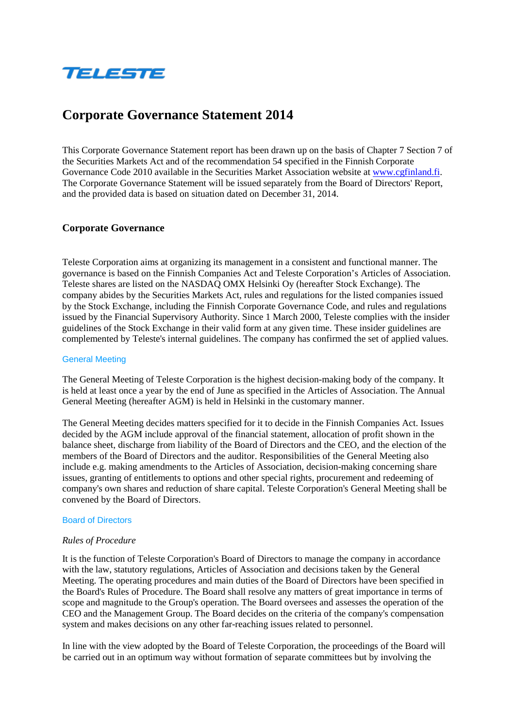

# **Corporate Governance Statement 2014**

This Corporate Governance Statement report has been drawn up on the basis of Chapter 7 Section 7 of the Securities Markets Act and of the recommendation 54 specified in the Finnish Corporate Governance Code 2010 available in the Securities Market Association website at [www.cgfinland.fi.](http://www.cgfinland.fi/) The Corporate Governance Statement will be issued separately from the Board of Directors' Report, and the provided data is based on situation dated on December 31, 2014.

# **Corporate Governance**

Teleste Corporation aims at organizing its management in a consistent and functional manner. The governance is based on the Finnish Companies Act and Teleste Corporation's Articles of Association. Teleste shares are listed on the NASDAQ OMX Helsinki Oy (hereafter Stock Exchange). The company abides by the Securities Markets Act, rules and regulations for the listed companies issued by the Stock Exchange, including the Finnish Corporate Governance Code, and rules and regulations issued by the Financial Supervisory Authority. Since 1 March 2000, Teleste complies with the insider guidelines of the Stock Exchange in their valid form at any given time. These insider guidelines are complemented by Teleste's internal guidelines. The company has confirmed the set of applied values.

#### General Meeting

The General Meeting of Teleste Corporation is the highest decision-making body of the company. It is held at least once a year by the end of June as specified in the Articles of Association. The Annual General Meeting (hereafter AGM) is held in Helsinki in the customary manner.

The General Meeting decides matters specified for it to decide in the Finnish Companies Act. Issues decided by the AGM include approval of the financial statement, allocation of profit shown in the balance sheet, discharge from liability of the Board of Directors and the CEO, and the election of the members of the Board of Directors and the auditor. Responsibilities of the General Meeting also include e.g. making amendments to the Articles of Association, decision-making concerning share issues, granting of entitlements to options and other special rights, procurement and redeeming of company's own shares and reduction of share capital. Teleste Corporation's General Meeting shall be convened by the Board of Directors.

#### Board of Directors

#### *Rules of Procedure*

It is the function of Teleste Corporation's Board of Directors to manage the company in accordance with the law, statutory regulations, Articles of Association and decisions taken by the General Meeting. The operating procedures and main duties of the Board of Directors have been specified in the Board's Rules of Procedure. The Board shall resolve any matters of great importance in terms of scope and magnitude to the Group's operation. The Board oversees and assesses the operation of the CEO and the Management Group. The Board decides on the criteria of the company's compensation system and makes decisions on any other far-reaching issues related to personnel.

In line with the view adopted by the Board of Teleste Corporation, the proceedings of the Board will be carried out in an optimum way without formation of separate committees but by involving the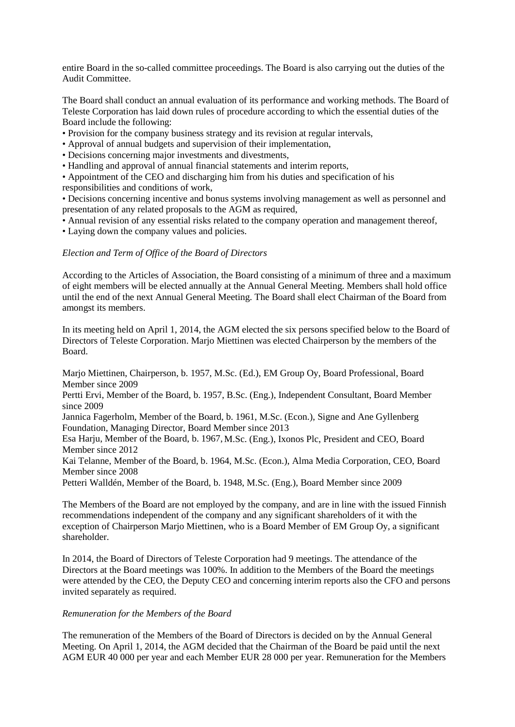entire Board in the so-called committee proceedings. The Board is also carrying out the duties of the Audit Committee.

The Board shall conduct an annual evaluation of its performance and working methods. The Board of Teleste Corporation has laid down rules of procedure according to which the essential duties of the Board include the following:

• Provision for the company business strategy and its revision at regular intervals,

- Approval of annual budgets and supervision of their implementation,
- Decisions concerning major investments and divestments,
- Handling and approval of annual financial statements and interim reports,

• Appointment of the CEO and discharging him from his duties and specification of his responsibilities and conditions of work,

• Decisions concerning incentive and bonus systems involving management as well as personnel and presentation of any related proposals to the AGM as required,

• Annual revision of any essential risks related to the company operation and management thereof,

• Laying down the company values and policies.

# *Election and Term of Office of the Board of Directors*

According to the Articles of Association, the Board consisting of a minimum of three and a maximum of eight members will be elected annually at the Annual General Meeting. Members shall hold office until the end of the next Annual General Meeting. The Board shall elect Chairman of the Board from amongst its members.

In its meeting held on April 1, 2014, the AGM elected the six persons specified below to the Board of Directors of Teleste Corporation. Marjo Miettinen was elected Chairperson by the members of the Board.

Marjo Miettinen, Chairperson, b. 1957, M.Sc. (Ed.), EM Group Oy, Board Professional, Board Member since 2009

Pertti Ervi, Member of the Board, b. 1957, B.Sc. (Eng.), Independent Consultant, Board Member since 2009

Jannica Fagerholm, Member of the Board, b. 1961, M.Sc. (Econ.), Signe and Ane Gyllenberg Foundation, Managing Director, Board Member since 2013

Esa Harju, Member of the Board, b. 1967, M.Sc. (Eng.), Ixonos Plc, President and CEO, Board Member since 2012

Kai Telanne, Member of the Board, b. 1964, M.Sc. (Econ.), Alma Media Corporation, CEO, Board Member since 2008

Petteri Walldén, Member of the Board, b. 1948, M.Sc. (Eng.), Board Member since 2009

The Members of the Board are not employed by the company, and are in line with the issued Finnish recommendations independent of the company and any significant shareholders of it with the exception of Chairperson Marjo Miettinen, who is a Board Member of EM Group Oy, a significant shareholder.

In 2014, the Board of Directors of Teleste Corporation had 9 meetings. The attendance of the Directors at the Board meetings was 100%. In addition to the Members of the Board the meetings were attended by the CEO, the Deputy CEO and concerning interim reports also the CFO and persons invited separately as required.

#### *Remuneration for the Members of the Board*

The remuneration of the Members of the Board of Directors is decided on by the Annual General Meeting. On April 1, 2014, the AGM decided that the Chairman of the Board be paid until the next AGM EUR 40 000 per year and each Member EUR 28 000 per year. Remuneration for the Members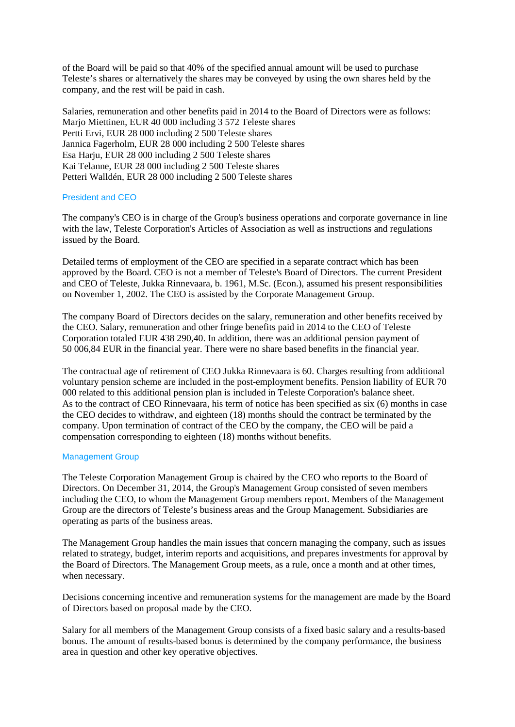of the Board will be paid so that 40% of the specified annual amount will be used to purchase Teleste's shares or alternatively the shares may be conveyed by using the own shares held by the company, and the rest will be paid in cash.

Salaries, remuneration and other benefits paid in 2014 to the Board of Directors were as follows: Marjo Miettinen, EUR 40 000 including 3 572 Teleste shares Pertti Ervi, EUR 28 000 including 2 500 Teleste shares Jannica Fagerholm, EUR 28 000 including 2 500 Teleste shares Esa Harju, EUR 28 000 including 2 500 Teleste shares Kai Telanne, EUR 28 000 including 2 500 Teleste shares Petteri Walldén, EUR 28 000 including 2 500 Teleste shares

# President and CEO

The company's CEO is in charge of the Group's business operations and corporate governance in line with the law, Teleste Corporation's Articles of Association as well as instructions and regulations issued by the Board.

Detailed terms of employment of the CEO are specified in a separate contract which has been approved by the Board. CEO is not a member of Teleste's Board of Directors. The current President and CEO of Teleste, Jukka Rinnevaara, b. 1961, M.Sc. (Econ.), assumed his present responsibilities on November 1, 2002. The CEO is assisted by the Corporate Management Group.

The company Board of Directors decides on the salary, remuneration and other benefits received by the CEO. Salary, remuneration and other fringe benefits paid in 2014 to the CEO of Teleste Corporation totaled EUR 438 290,40. In addition, there was an additional pension payment of 50 006,84 EUR in the financial year. There were no share based benefits in the financial year.

The contractual age of retirement of CEO Jukka Rinnevaara is 60. Charges resulting from additional voluntary pension scheme are included in the post-employment benefits. Pension liability of EUR 70 000 related to this additional pension plan is included in Teleste Corporation's balance sheet. As to the contract of CEO Rinnevaara, his term of notice has been specified as six (6) months in case the CEO decides to withdraw, and eighteen (18) months should the contract be terminated by the company. Upon termination of contract of the CEO by the company, the CEO will be paid a compensation corresponding to eighteen (18) months without benefits.

# Management Group

The Teleste Corporation Management Group is chaired by the CEO who reports to the Board of Directors. On December 31, 2014, the Group's Management Group consisted of seven members including the CEO, to whom the Management Group members report. Members of the Management Group are the directors of Teleste's business areas and the Group Management. Subsidiaries are operating as parts of the business areas.

The Management Group handles the main issues that concern managing the company, such as issues related to strategy, budget, interim reports and acquisitions, and prepares investments for approval by the Board of Directors. The Management Group meets, as a rule, once a month and at other times, when necessary.

Decisions concerning incentive and remuneration systems for the management are made by the Board of Directors based on proposal made by the CEO.

Salary for all members of the Management Group consists of a fixed basic salary and a results-based bonus. The amount of results-based bonus is determined by the company performance, the business area in question and other key operative objectives.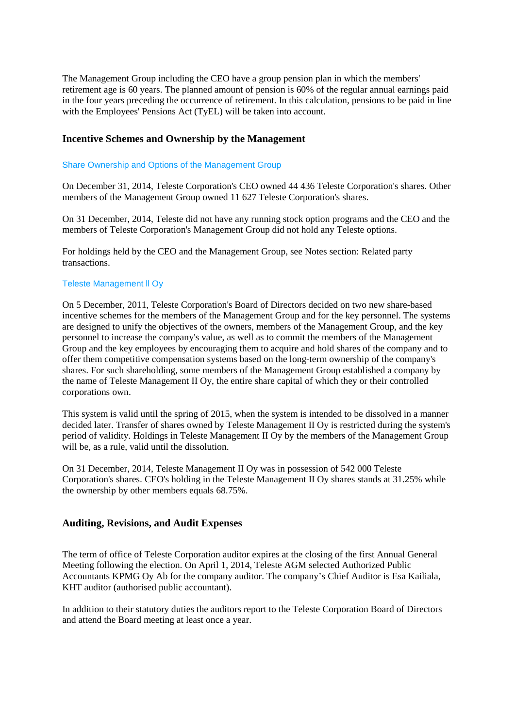The Management Group including the CEO have a group pension plan in which the members' retirement age is 60 years. The planned amount of pension is 60% of the regular annual earnings paid in the four years preceding the occurrence of retirement. In this calculation, pensions to be paid in line with the Employees' Pensions Act (TyEL) will be taken into account.

# **Incentive Schemes and Ownership by the Management**

#### Share Ownership and Options of the Management Group

On December 31, 2014, Teleste Corporation's CEO owned 44 436 Teleste Corporation's shares. Other members of the Management Group owned 11 627 Teleste Corporation's shares.

On 31 December, 2014, Teleste did not have any running stock option programs and the CEO and the members of Teleste Corporation's Management Group did not hold any Teleste options.

For holdings held by the CEO and the Management Group, see Notes section: Related party transactions.

#### Teleste Management ll Oy

On 5 December, 2011, Teleste Corporation's Board of Directors decided on two new share-based incentive schemes for the members of the Management Group and for the key personnel. The systems are designed to unify the objectives of the owners, members of the Management Group, and the key personnel to increase the company's value, as well as to commit the members of the Management Group and the key employees by encouraging them to acquire and hold shares of the company and to offer them competitive compensation systems based on the long-term ownership of the company's shares. For such shareholding, some members of the Management Group established a company by the name of Teleste Management II Oy, the entire share capital of which they or their controlled corporations own.

This system is valid until the spring of 2015, when the system is intended to be dissolved in a manner decided later. Transfer of shares owned by Teleste Management II Oy is restricted during the system's period of validity. Holdings in Teleste Management II Oy by the members of the Management Group will be, as a rule, valid until the dissolution.

On 31 December, 2014, Teleste Management II Oy was in possession of 542 000 Teleste Corporation's shares. CEO's holding in the Teleste Management II Oy shares stands at 31.25% while the ownership by other members equals 68.75%.

# **Auditing, Revisions, and Audit Expenses**

The term of office of Teleste Corporation auditor expires at the closing of the first Annual General Meeting following the election. On April 1, 2014, Teleste AGM selected Authorized Public Accountants KPMG Oy Ab for the company auditor. The company's Chief Auditor is Esa Kailiala, KHT auditor (authorised public accountant).

In addition to their statutory duties the auditors report to the Teleste Corporation Board of Directors and attend the Board meeting at least once a year.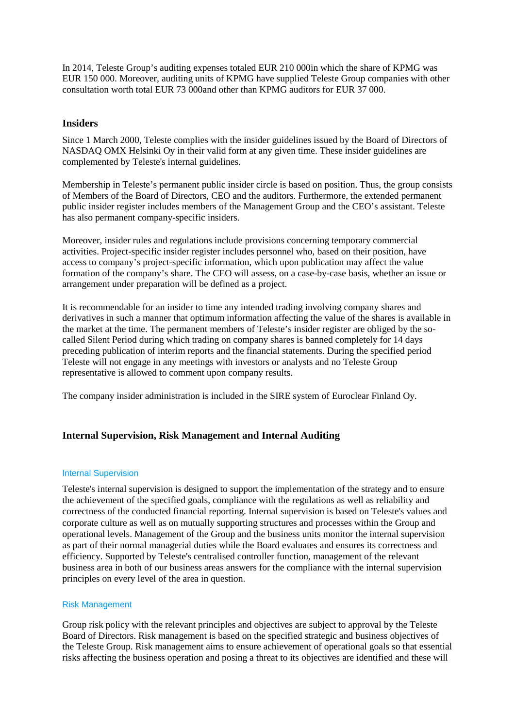In 2014, Teleste Group's auditing expenses totaled EUR 210 000in which the share of KPMG was EUR 150 000. Moreover, auditing units of KPMG have supplied Teleste Group companies with other consultation worth total EUR 73 000and other than KPMG auditors for EUR 37 000.

# **Insiders**

Since 1 March 2000, Teleste complies with the insider guidelines issued by the Board of Directors of NASDAQ OMX Helsinki Oy in their valid form at any given time. These insider guidelines are complemented by Teleste's internal guidelines.

Membership in Teleste's permanent public insider circle is based on position. Thus, the group consists of Members of the Board of Directors, CEO and the auditors. Furthermore, the extended permanent public insider register includes members of the Management Group and the CEO's assistant. Teleste has also permanent company-specific insiders.

Moreover, insider rules and regulations include provisions concerning temporary commercial activities. Project-specific insider register includes personnel who, based on their position, have access to company's project-specific information, which upon publication may affect the value formation of the company's share. The CEO will assess, on a case-by-case basis, whether an issue or arrangement under preparation will be defined as a project.

It is recommendable for an insider to time any intended trading involving company shares and derivatives in such a manner that optimum information affecting the value of the shares is available in the market at the time. The permanent members of Teleste's insider register are obliged by the socalled Silent Period during which trading on company shares is banned completely for 14 days preceding publication of interim reports and the financial statements. During the specified period Teleste will not engage in any meetings with investors or analysts and no Teleste Group representative is allowed to comment upon company results.

The company insider administration is included in the SIRE system of Euroclear Finland Oy.

# **Internal Supervision, Risk Management and Internal Auditing**

# Internal Supervision

Teleste's internal supervision is designed to support the implementation of the strategy and to ensure the achievement of the specified goals, compliance with the regulations as well as reliability and correctness of the conducted financial reporting. Internal supervision is based on Teleste's values and corporate culture as well as on mutually supporting structures and processes within the Group and operational levels. Management of the Group and the business units monitor the internal supervision as part of their normal managerial duties while the Board evaluates and ensures its correctness and efficiency. Supported by Teleste's centralised controller function, management of the relevant business area in both of our business areas answers for the compliance with the internal supervision principles on every level of the area in question.

# Risk Management

Group risk policy with the relevant principles and objectives are subject to approval by the Teleste Board of Directors. Risk management is based on the specified strategic and business objectives of the Teleste Group. Risk management aims to ensure achievement of operational goals so that essential risks affecting the business operation and posing a threat to its objectives are identified and these will